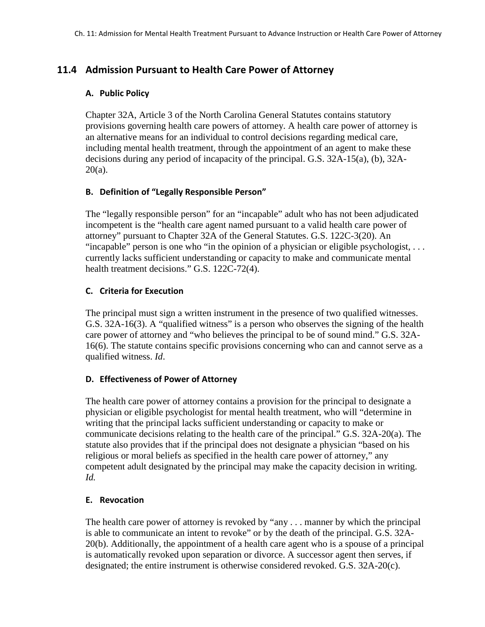# **11.4 Admission Pursuant to Health Care Power of Attorney**

### **A. Public Policy**

Chapter 32A, Article 3 of the North Carolina General Statutes contains statutory provisions governing health care powers of attorney. A health care power of attorney is an alternative means for an individual to control decisions regarding medical care, including mental health treatment, through the appointment of an agent to make these decisions during any period of incapacity of the principal. G.S. 32A-15(a), (b), 32A-20(a).

# **B. Definition of "Legally Responsible Person"**

The "legally responsible person" for an "incapable" adult who has not been adjudicated incompetent is the "health care agent named pursuant to a valid health care power of attorney" pursuant to Chapter 32A of the General Statutes. G.S. 122C-3(20). An "incapable" person is one who "in the opinion of a physician or eligible psychologist, . . . currently lacks sufficient understanding or capacity to make and communicate mental health treatment decisions." G.S. 122C-72(4).

# **C. Criteria for Execution**

The principal must sign a written instrument in the presence of two qualified witnesses. G.S. 32A-16(3). A "qualified witness" is a person who observes the signing of the health care power of attorney and "who believes the principal to be of sound mind." G.S. 32A-16(6). The statute contains specific provisions concerning who can and cannot serve as a qualified witness. *Id*.

# **D. Effectiveness of Power of Attorney**

The health care power of attorney contains a provision for the principal to designate a physician or eligible psychologist for mental health treatment, who will "determine in writing that the principal lacks sufficient understanding or capacity to make or communicate decisions relating to the health care of the principal." G.S. 32A-20(a). The statute also provides that if the principal does not designate a physician "based on his religious or moral beliefs as specified in the health care power of attorney," any competent adult designated by the principal may make the capacity decision in writing. *Id.*

### **E. Revocation**

The health care power of attorney is revoked by "any . . . manner by which the principal is able to communicate an intent to revoke" or by the death of the principal. G.S. 32A-20(b). Additionally, the appointment of a health care agent who is a spouse of a principal is automatically revoked upon separation or divorce. A successor agent then serves, if designated; the entire instrument is otherwise considered revoked. G.S. 32A-20(c).